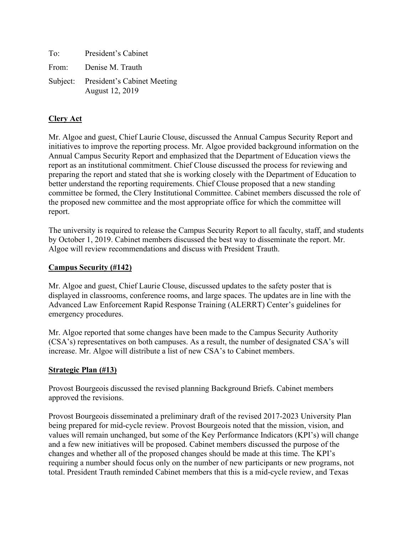| To: | President's Cabinet                                     |
|-----|---------------------------------------------------------|
|     | From: Denise M. Trauth                                  |
|     | Subject: President's Cabinet Meeting<br>August 12, 2019 |

# **Clery Act**

Mr. Algoe and guest, Chief Laurie Clouse, discussed the Annual Campus Security Report and initiatives to improve the reporting process. Mr. Algoe provided background information on the Annual Campus Security Report and emphasized that the Department of Education views the report as an institutional commitment. Chief Clouse discussed the process for reviewing and preparing the report and stated that she is working closely with the Department of Education to better understand the reporting requirements. Chief Clouse proposed that a new standing committee be formed, the Clery Institutional Committee. Cabinet members discussed the role of the proposed new committee and the most appropriate office for which the committee will report.

The university is required to release the Campus Security Report to all faculty, staff, and students by October 1, 2019. Cabinet members discussed the best way to disseminate the report. Mr. Algoe will review recommendations and discuss with President Trauth.

## **Campus Security (#142)**

Mr. Algoe and guest, Chief Laurie Clouse, discussed updates to the safety poster that is displayed in classrooms, conference rooms, and large spaces. The updates are in line with the Advanced Law Enforcement Rapid Response Training (ALERRT) Center's guidelines for emergency procedures.

Mr. Algoe reported that some changes have been made to the Campus Security Authority (CSA's) representatives on both campuses. As a result, the number of designated CSA's will increase. Mr. Algoe will distribute a list of new CSA's to Cabinet members.

# **Strategic Plan (#13)**

Provost Bourgeois discussed the revised planning Background Briefs. Cabinet members approved the revisions.

Provost Bourgeois disseminated a preliminary draft of the revised 2017-2023 University Plan being prepared for mid-cycle review. Provost Bourgeois noted that the mission, vision, and values will remain unchanged, but some of the Key Performance Indicators (KPI's) will change and a few new initiatives will be proposed. Cabinet members discussed the purpose of the changes and whether all of the proposed changes should be made at this time. The KPI's requiring a number should focus only on the number of new participants or new programs, not total. President Trauth reminded Cabinet members that this is a mid-cycle review, and Texas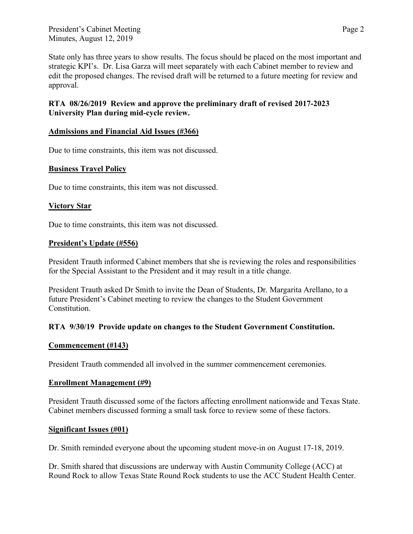President's Cabinet Meeting Page 2 Minutes, August 12, 2019

State only has three years to show results. The focus should be placed on the most important and strategic KPI's. Dr. Lisa Garza will meet separately with each Cabinet member to review and edit the proposed changes. The revised draft will be returned to a future meeting for review and approval.

## **RTA 08/26/2019 Review and approve the preliminary draft of revised 2017-2023 University Plan during mid-cycle review.**

### **Admissions and Financial Aid Issues (#366)**

Due to time constraints, this item was not discussed.

### **Business Travel Policy**

Due to time constraints, this item was not discussed.

### **Victory Star**

Due to time constraints, this item was not discussed.

### **President's Update (#556)**

President Trauth informed Cabinet members that she is reviewing the roles and responsibilities for the Special Assistant to the President and it may result in a title change.

President Trauth asked Dr Smith to invite the Dean of Students, Dr. Margarita Arellano, to a future President's Cabinet meeting to review the changes to the Student Government Constitution.

# **RTA 9/30/19 Provide update on changes to the Student Government Constitution.**

#### **Commencement (#143)**

President Trauth commended all involved in the summer commencement ceremonies.

#### **Enrollment Management (#9)**

President Trauth discussed some of the factors affecting enrollment nationwide and Texas State. Cabinet members discussed forming a small task force to review some of these factors.

#### **Significant Issues (#01)**

Dr. Smith reminded everyone about the upcoming student move-in on August 17-18, 2019.

Dr. Smith shared that discussions are underway with Austin Community College (ACC) at Round Rock to allow Texas State Round Rock students to use the ACC Student Health Center.